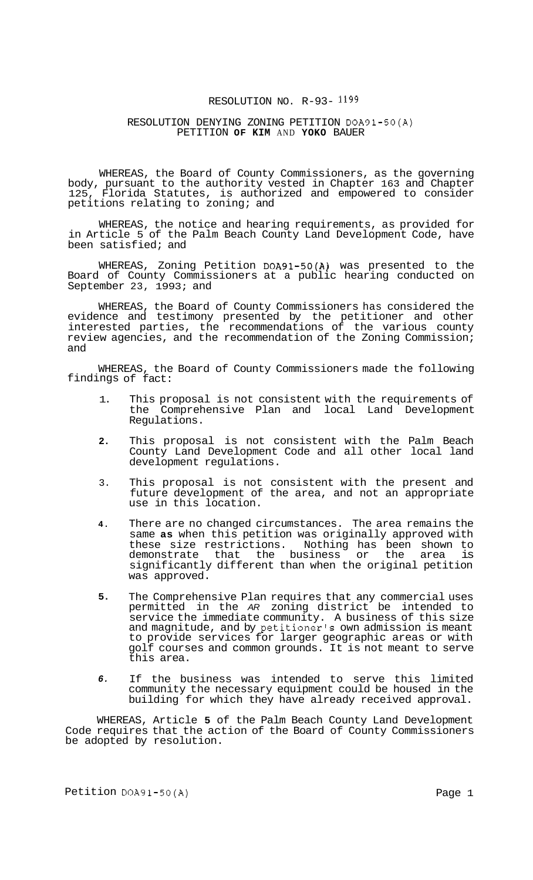### RESOLUTION NO. R-93- 1199

## RESOLUTION DENYING ZONING PETITION DOA91-50(A) PETITION **OF KIM** AND **YOKO** BAUER

WHEREAS, the Board of County Commissioners, as the governing body, pursuant to the authority vested in Chapter 163 and Chapter<br>125, Florida Statutes, is authorized and empowered to consider Florida Statutes, is authorized and empowered to consider petitions relating to zoning; and

WHEREAS, the notice and hearing requirements, as provided for in Article 5 of the Palm Beach County Land Development Code, have been satisfied; and

WHEREAS, Zoning Petition DOA91-50(A) was presented to the Board of County Commissioners at a public hearing conducted on September 23, 1993; and

WHEREAS, the Board of County Commissioners has considered the evidence and testimony presented by the petitioner and other interested parties, the recommendations of the various county review agencies, and the recommendation of the Zoning Commission; and

WHEREAS, the Board of County Commissioners made the following findings of fact:

- 1. This proposal is not consistent with the requirements of the Comprehensive Plan and local Land Development Regulations.
- **2.**  This proposal is not consistent with the Palm Beach County Land Development Code and all other local land development regulations.
- 3. This proposal is not consistent with the present and future development of the area, and not an appropriate use in this location.
- **4.**  There are no changed circumstances. The area remains the same **as** when this petition was originally approved with these size restrictions. Nothing has been shown to demonstrate that the business or the area is significantly different than when the original petition was approved.
- **5.**  The Comprehensive Plan requires that any commercial uses permitted in the *AR* zoning district be intended to service the immediate community. A business of this size and magnitude, and by petitioner's own admission is meant to provide services for larger geographic areas or with golf courses and common grounds. It is not meant to serve this area.
- *6.*  If the business was intended to serve this limited community the necessary equipment could be housed in the building for which they have already received approval.

WHEREAS, Article **5** of the Palm Beach County Land Development Code requires that the action of the Board of County Commissioners be adopted by resolution.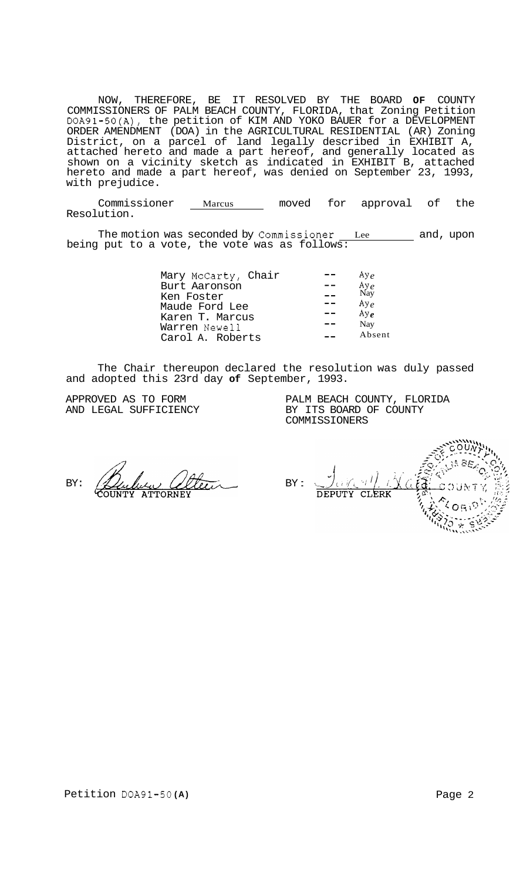NOW, THEREFORE, BE IT RESOLVED BY THE BOARD **OF** COUNTY COMMISSIONERS OF PALM BEACH COUNTY, FLORIDA, that Zoning Petition DOA91-50(A), the petition of KIM AND YOKO BAUER for a DEVELOPMENT ORDER AMENDMENT (DOA) in the AGRICULTURAL RESIDENTIAL (AR) Zoning District, on a parcel of land legally described in EXHIBIT A, attached hereto and made a part hereof, and generally located as shown on a vicinity sketch as indicated in EXHIBIT B, attached hereto and made a part hereof, was denied on September 23, 1993, with prejudice.

Commissioner Marcus moved for approval of the Resolution.

The motion was seconded by Commissioner Lee and, upon being put to a vote, the vote was as follows:

| Mary McCarty, Chair | Ay $\rho$   |
|---------------------|-------------|
| Burt Aaronson       | Aye         |
| Ken Foster          | Nay         |
| Maude Ford Lee      | $A y_e$     |
| Karen T. Marcus     | $Ay_{\rho}$ |
| Warren Newell       | Nay         |
| Carol A. Roberts    | Absent      |
|                     |             |

The Chair thereupon declared the resolution was duly passed and adopted this 23rd day **of** September, 1993.

APPROVED AS TO FORM AND LEGAL SUFFICIENCY PALM BEACH COUNTY, FLORIDA BY ITS BOARD OF COUNTY COMMISSIONERS

BY:

BY : **CLERK DEPUTY**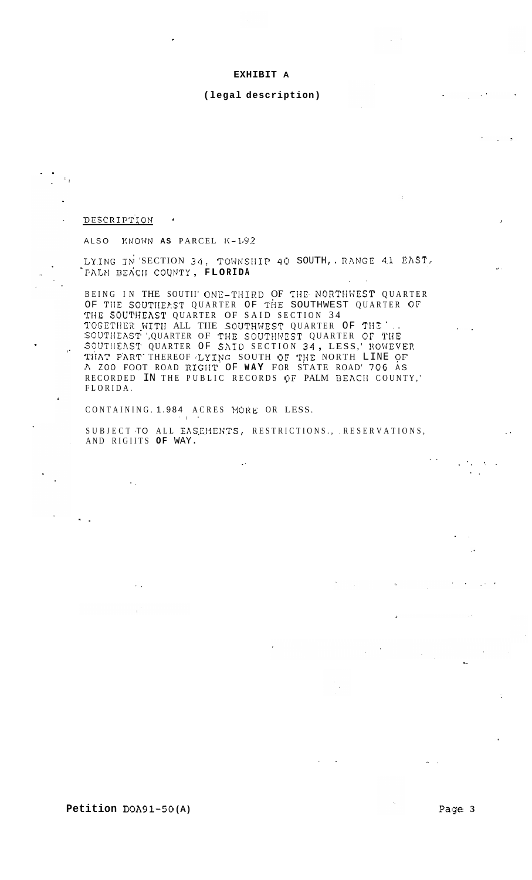#### EXHIBIT A

#### (legal description)

**DESCRIPTION** 

 $\mathbb{R}_2$ 

ALSO KNOWN AS PARCEL K-1.92

LYING IN SECTION 34, TOWNSHIP 40 SOUTH, RANGE 41 EAST, PALM BEACH COUNTY, FLORIDA

BEING IN THE SOUTII' ONE-THIRD OF THE NORTHWEST QUARTER<br>OF THE SOUTHEAST QUARTER OF THE SOUTHWEST QUARTER OF THE SOUTHEAST QUARTER OF SAID SECTION 34 THE SOUTHEAST QUARTER OF SAID SECTION 34<br>TOGETHER WITH ALL THE SOUTHWEST QUARTER OF THE<br>SOUTHEAST 'QUARTER OF THE SOUTHWEST QUARTER OF THE<br>SOUTHEAST QUARTER OF SAID SECTION 34, LESS,' HOWEVER<br>THAT PART THEREOF LYING SOUTH RECORDED IN THE PUBLIC RECORDS OF PALM BEACH COUNTY,' FLORIDA.

CONTAINING. 1.984 ACRES MORE OR LESS.

SUBJECT TO ALL EASEMENTS, RESTRICTIONS., RESERVATIONS, AND RIGHTS OF WAY.

Petition DOA91-50(A)

Page 3